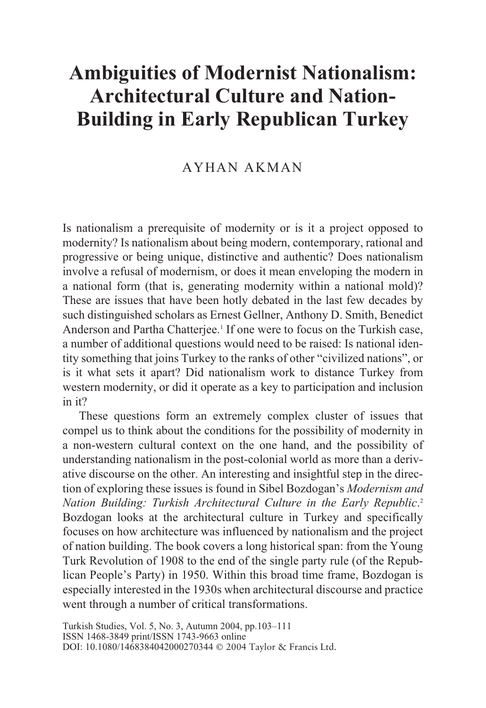## **Ambiguities of Modernist Nationalism: Architectural Culture and Nation-Building in Early Republican Turkey**

## AYHAN AKMAN

Is nationalism a prerequisite of modernity or is it a project opposed to modernity? Is nationalism about being modern, contemporary, rational and progressive or being unique, distinctive and authentic? Does nationalism involve a refusal of modernism, or does it mean enveloping the modern in a national form (that is, generating modernity within a national mold)? These are issues that have been hotly debated in the last few decades by such distinguished scholars as Ernest Gellner, Anthony D. Smith, Benedict Anderson and Partha Chatterjee.<sup>1</sup> If one were to focus on the Turkish case, a number of additional questions would need to be raised: Is national identity something that joins Turkey to the ranks of other "civilized nations", or is it what sets it apart? Did nationalism work to distance Turkey from western modernity, or did it operate as a key to participation and inclusion in it?

These questions form an extremely complex cluster of issues that compel us to think about the conditions for the possibility of modernity in a non-western cultural context on the one hand, and the possibility of understanding nationalism in the post-colonial world as more than a derivative discourse on the other. An interesting and insightful step in the direction of exploring these issues is found in Sibel Bozdogan's *Modernism and* Nation Building: Turkish Architectural Culture in the Early Republic.<sup>2</sup> Bozdogan looks at the architectural culture in Turkey and specifically focuses on how architecture was influenced by nationalism and the project of nation building. The book covers a long historical span: from the Young Turk Revolution of 1908 to the end of the single party rule (of the Republican People's Party) in 1950. Within this broad time frame, Bozdogan is especially interested in the 1930s when architectural discourse and practice went through a number of critical transformations.

Turkish Studies, Vol. 5, No. 3, Autumn 2004, pp.103–111 ISSN 1468-3849 print/ISSN 1743-9663 online DOI: 10.1080/1468384042000270344 © 2004 Taylor & Francis Ltd.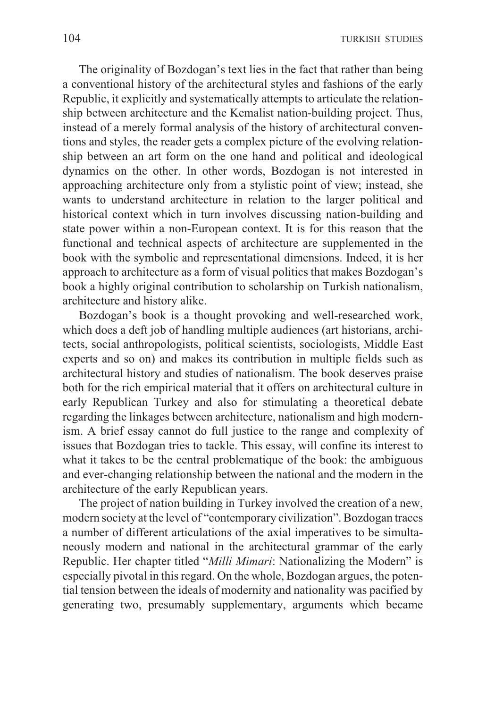The originality of Bozdogan's text lies in the fact that rather than being a conventional history of the architectural styles and fashions of the early Republic, it explicitly and systematically attempts to articulate the relationship between architecture and the Kemalist nation-building project. Thus, instead of a merely formal analysis of the history of architectural conventions and styles, the reader gets a complex picture of the evolving relationship between an art form on the one hand and political and ideological dynamics on the other. In other words, Bozdogan is not interested in approaching architecture only from a stylistic point of view; instead, she wants to understand architecture in relation to the larger political and historical context which in turn involves discussing nation-building and state power within a non-European context. It is for this reason that the functional and technical aspects of architecture are supplemented in the book with the symbolic and representational dimensions. Indeed, it is her approach to architecture as a form of visual politics that makes Bozdogan's book a highly original contribution to scholarship on Turkish nationalism, architecture and history alike.

Bozdogan's book is a thought provoking and well-researched work, which does a deft job of handling multiple audiences (art historians, architects, social anthropologists, political scientists, sociologists, Middle East experts and so on) and makes its contribution in multiple fields such as architectural history and studies of nationalism. The book deserves praise both for the rich empirical material that it offers on architectural culture in early Republican Turkey and also for stimulating a theoretical debate regarding the linkages between architecture, nationalism and high modernism. A brief essay cannot do full justice to the range and complexity of issues that Bozdogan tries to tackle. This essay, will confine its interest to what it takes to be the central problematique of the book: the ambiguous and ever-changing relationship between the national and the modern in the architecture of the early Republican years.

The project of nation building in Turkey involved the creation of a new, modern society at the level of "contemporary civilization". Bozdogan traces a number of different articulations of the axial imperatives to be simultaneously modern and national in the architectural grammar of the early Republic. Her chapter titled "*Milli Mimari*: Nationalizing the Modern" is especially pivotal in this regard. On the whole, Bozdogan argues, the potential tension between the ideals of modernity and nationality was pacified by generating two, presumably supplementary, arguments which became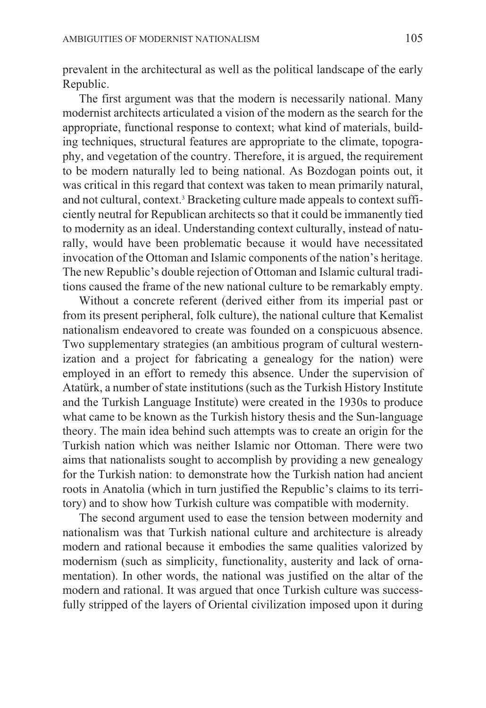prevalent in the architectural as well as the political landscape of the early Republic.

The first argument was that the modern is necessarily national. Many modernist architects articulated a vision of the modern as the search for the appropriate, functional response to context; what kind of materials, building techniques, structural features are appropriate to the climate, topography, and vegetation of the country. Therefore, it is argued, the requirement to be modern naturally led to being national. As Bozdogan points out, it was critical in this regard that context was taken to mean primarily natural, and not cultural, context.<sup>3</sup> Bracketing culture made appeals to context sufficiently neutral for Republican architects so that it could be immanently tied to modernity as an ideal. Understanding context culturally, instead of naturally, would have been problematic because it would have necessitated invocation of the Ottoman and Islamic components of the nation's heritage. The new Republic's double rejection of Ottoman and Islamic cultural traditions caused the frame of the new national culture to be remarkably empty.

Without a concrete referent (derived either from its imperial past or from its present peripheral, folk culture), the national culture that Kemalist nationalism endeavored to create was founded on a conspicuous absence. Two supplementary strategies (an ambitious program of cultural westernization and a project for fabricating a genealogy for the nation) were employed in an effort to remedy this absence. Under the supervision of Atatürk, a number of state institutions (such as the Turkish History Institute and the Turkish Language Institute) were created in the 1930s to produce what came to be known as the Turkish history thesis and the Sun-language theory. The main idea behind such attempts was to create an origin for the Turkish nation which was neither Islamic nor Ottoman. There were two aims that nationalists sought to accomplish by providing a new genealogy for the Turkish nation: to demonstrate how the Turkish nation had ancient roots in Anatolia (which in turn justified the Republic's claims to its territory) and to show how Turkish culture was compatible with modernity.

The second argument used to ease the tension between modernity and nationalism was that Turkish national culture and architecture is already modern and rational because it embodies the same qualities valorized by modernism (such as simplicity, functionality, austerity and lack of ornamentation). In other words, the national was justified on the altar of the modern and rational. It was argued that once Turkish culture was successfully stripped of the layers of Oriental civilization imposed upon it during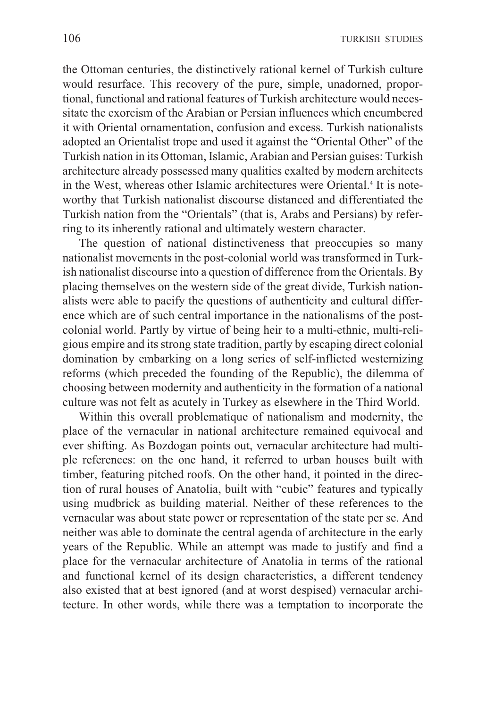the Ottoman centuries, the distinctively rational kernel of Turkish culture would resurface. This recovery of the pure, simple, unadorned, proportional, functional and rational features of Turkish architecture would necessitate the exorcism of the Arabian or Persian influences which encumbered it with Oriental ornamentation, confusion and excess. Turkish nationalists adopted an Orientalist trope and used it against the "Oriental Other" of the Turkish nation in its Ottoman, Islamic, Arabian and Persian guises: Turkish architecture already possessed many qualities exalted by modern architects in the West, whereas other Islamic architectures were Oriental.<sup>4</sup> It is noteworthy that Turkish nationalist discourse distanced and differentiated the Turkish nation from the "Orientals" (that is, Arabs and Persians) by referring to its inherently rational and ultimately western character.

The question of national distinctiveness that preoccupies so many nationalist movements in the post-colonial world was transformed in Turkish nationalist discourse into a question of difference from the Orientals. By placing themselves on the western side of the great divide, Turkish nationalists were able to pacify the questions of authenticity and cultural difference which are of such central importance in the nationalisms of the postcolonial world. Partly by virtue of being heir to a multi-ethnic, multi-religious empire and its strong state tradition, partly by escaping direct colonial domination by embarking on a long series of self-inflicted westernizing reforms (which preceded the founding of the Republic), the dilemma of choosing between modernity and authenticity in the formation of a national culture was not felt as acutely in Turkey as elsewhere in the Third World.

Within this overall problematique of nationalism and modernity, the place of the vernacular in national architecture remained equivocal and ever shifting. As Bozdogan points out, vernacular architecture had multiple references: on the one hand, it referred to urban houses built with timber, featuring pitched roofs. On the other hand, it pointed in the direction of rural houses of Anatolia, built with "cubic" features and typically using mudbrick as building material. Neither of these references to the vernacular was about state power or representation of the state per se. And neither was able to dominate the central agenda of architecture in the early years of the Republic. While an attempt was made to justify and find a place for the vernacular architecture of Anatolia in terms of the rational and functional kernel of its design characteristics, a different tendency also existed that at best ignored (and at worst despised) vernacular architecture. In other words, while there was a temptation to incorporate the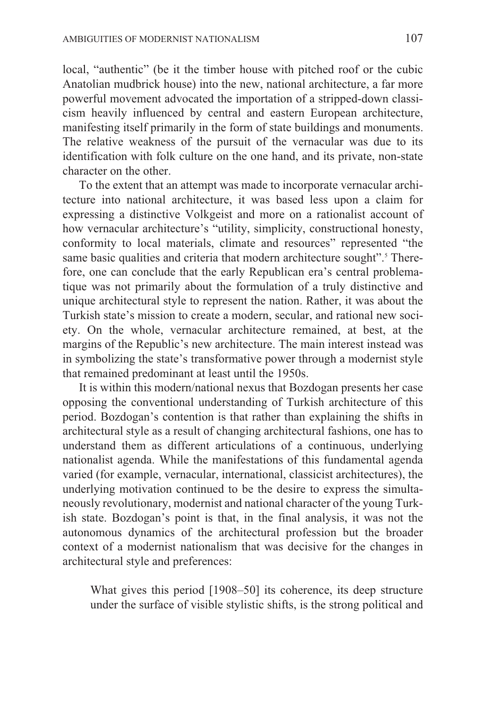local, "authentic" (be it the timber house with pitched roof or the cubic Anatolian mudbrick house) into the new, national architecture, a far more powerful movement advocated the importation of a stripped-down classicism heavily influenced by central and eastern European architecture, manifesting itself primarily in the form of state buildings and monuments. The relative weakness of the pursuit of the vernacular was due to its identification with folk culture on the one hand, and its private, non-state character on the other.

To the extent that an attempt was made to incorporate vernacular architecture into national architecture, it was based less upon a claim for expressing a distinctive Volkgeist and more on a rationalist account of how vernacular architecture's "utility, simplicity, constructional honesty, conformity to local materials, climate and resources" represented "the same basic qualities and criteria that modern architecture sought".<sup>5</sup> Therefore, one can conclude that the early Republican era's central problematique was not primarily about the formulation of a truly distinctive and unique architectural style to represent the nation. Rather, it was about the Turkish state's mission to create a modern, secular, and rational new society. On the whole, vernacular architecture remained, at best, at the margins of the Republic's new architecture. The main interest instead was in symbolizing the state's transformative power through a modernist style that remained predominant at least until the 1950s.

It is within this modern/national nexus that Bozdogan presents her case opposing the conventional understanding of Turkish architecture of this period. Bozdogan's contention is that rather than explaining the shifts in architectural style as a result of changing architectural fashions, one has to understand them as different articulations of a continuous, underlying nationalist agenda. While the manifestations of this fundamental agenda varied (for example, vernacular, international, classicist architectures), the underlying motivation continued to be the desire to express the simultaneously revolutionary, modernist and national character of the young Turkish state. Bozdogan's point is that, in the final analysis, it was not the autonomous dynamics of the architectural profession but the broader context of a modernist nationalism that was decisive for the changes in architectural style and preferences:

What gives this period [1908–50] its coherence, its deep structure under the surface of visible stylistic shifts, is the strong political and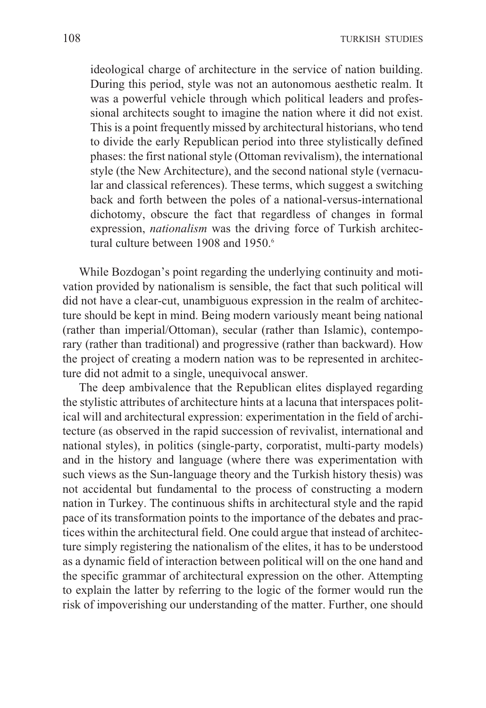108 TURKISH STUDIES

ideological charge of architecture in the service of nation building. During this period, style was not an autonomous aesthetic realm. It was a powerful vehicle through which political leaders and professional architects sought to imagine the nation where it did not exist. This is a point frequently missed by architectural historians, who tend to divide the early Republican period into three stylistically defined phases: the first national style (Ottoman revivalism), the international style (the New Architecture), and the second national style (vernacular and classical references). These terms, which suggest a switching back and forth between the poles of a national-versus-international dichotomy, obscure the fact that regardless of changes in formal expression, *nationalism* was the driving force of Turkish architectural culture between 1908 and 1950.<sup>6</sup>

While Bozdogan's point regarding the underlying continuity and motivation provided by nationalism is sensible, the fact that such political will did not have a clear-cut, unambiguous expression in the realm of architecture should be kept in mind. Being modern variously meant being national (rather than imperial/Ottoman), secular (rather than Islamic), contemporary (rather than traditional) and progressive (rather than backward). How the project of creating a modern nation was to be represented in architecture did not admit to a single, unequivocal answer.

The deep ambivalence that the Republican elites displayed regarding the stylistic attributes of architecture hints at a lacuna that interspaces political will and architectural expression: experimentation in the field of architecture (as observed in the rapid succession of revivalist, international and national styles), in politics (single-party, corporatist, multi-party models) and in the history and language (where there was experimentation with such views as the Sun-language theory and the Turkish history thesis) was not accidental but fundamental to the process of constructing a modern nation in Turkey. The continuous shifts in architectural style and the rapid pace of its transformation points to the importance of the debates and practices within the architectural field. One could argue that instead of architecture simply registering the nationalism of the elites, it has to be understood as a dynamic field of interaction between political will on the one hand and the specific grammar of architectural expression on the other. Attempting to explain the latter by referring to the logic of the former would run the risk of impoverishing our understanding of the matter. Further, one should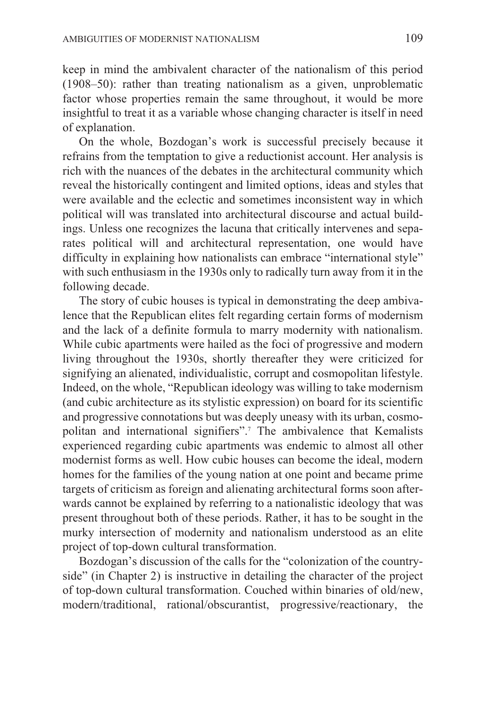keep in mind the ambivalent character of the nationalism of this period (1908–50): rather than treating nationalism as a given, unproblematic factor whose properties remain the same throughout, it would be more insightful to treat it as a variable whose changing character is itself in need of explanation.

On the whole, Bozdogan's work is successful precisely because it refrains from the temptation to give a reductionist account. Her analysis is rich with the nuances of the debates in the architectural community which reveal the historically contingent and limited options, ideas and styles that were available and the eclectic and sometimes inconsistent way in which political will was translated into architectural discourse and actual buildings. Unless one recognizes the lacuna that critically intervenes and separates political will and architectural representation, one would have difficulty in explaining how nationalists can embrace "international style" with such enthusiasm in the 1930s only to radically turn away from it in the following decade.

The story of cubic houses is typical in demonstrating the deep ambivalence that the Republican elites felt regarding certain forms of modernism and the lack of a definite formula to marry modernity with nationalism. While cubic apartments were hailed as the foci of progressive and modern living throughout the 1930s, shortly thereafter they were criticized for signifying an alienated, individualistic, corrupt and cosmopolitan lifestyle. Indeed, on the whole, "Republican ideology was willing to take modernism (and cubic architecture as its stylistic expression) on board for its scientific and progressive connotations but was deeply uneasy with its urban, cosmopolitan and international signifiers".7 The ambivalence that Kemalists experienced regarding cubic apartments was endemic to almost all other modernist forms as well. How cubic houses can become the ideal, modern homes for the families of the young nation at one point and became prime targets of criticism as foreign and alienating architectural forms soon afterwards cannot be explained by referring to a nationalistic ideology that was present throughout both of these periods. Rather, it has to be sought in the murky intersection of modernity and nationalism understood as an elite project of top-down cultural transformation.

Bozdogan's discussion of the calls for the "colonization of the countryside" (in Chapter 2) is instructive in detailing the character of the project of top-down cultural transformation. Couched within binaries of old/new, modern/traditional, rational/obscurantist, progressive/reactionary, the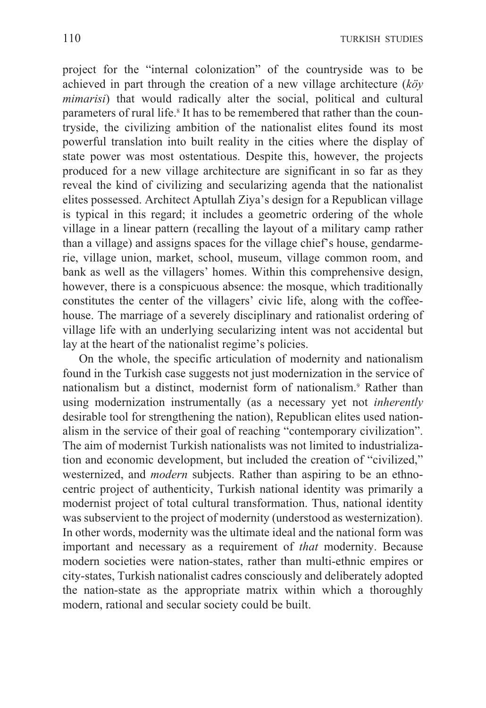110 TURKISH STUDIES

project for the "internal colonization" of the countryside was to be achieved in part through the creation of a new village architecture (*köy mimarisi*) that would radically alter the social, political and cultural parameters of rural life.<sup>8</sup> It has to be remembered that rather than the countryside, the civilizing ambition of the nationalist elites found its most powerful translation into built reality in the cities where the display of state power was most ostentatious. Despite this, however, the projects produced for a new village architecture are significant in so far as they reveal the kind of civilizing and secularizing agenda that the nationalist elites possessed. Architect Aptullah Ziya's design for a Republican village is typical in this regard; it includes a geometric ordering of the whole village in a linear pattern (recalling the layout of a military camp rather than a village) and assigns spaces for the village chief's house, gendarmerie, village union, market, school, museum, village common room, and bank as well as the villagers' homes. Within this comprehensive design, however, there is a conspicuous absence: the mosque, which traditionally constitutes the center of the villagers' civic life, along with the coffeehouse. The marriage of a severely disciplinary and rationalist ordering of village life with an underlying secularizing intent was not accidental but lay at the heart of the nationalist regime's policies.

On the whole, the specific articulation of modernity and nationalism found in the Turkish case suggests not just modernization in the service of nationalism but a distinct, modernist form of nationalism.9 Rather than using modernization instrumentally (as a necessary yet not *inherently* desirable tool for strengthening the nation), Republican elites used nationalism in the service of their goal of reaching "contemporary civilization". The aim of modernist Turkish nationalists was not limited to industrialization and economic development, but included the creation of "civilized," westernized, and *modern* subjects. Rather than aspiring to be an ethnocentric project of authenticity, Turkish national identity was primarily a modernist project of total cultural transformation. Thus, national identity was subservient to the project of modernity (understood as westernization). In other words, modernity was the ultimate ideal and the national form was important and necessary as a requirement of *that* modernity. Because modern societies were nation-states, rather than multi-ethnic empires or city-states, Turkish nationalist cadres consciously and deliberately adopted the nation-state as the appropriate matrix within which a thoroughly modern, rational and secular society could be built.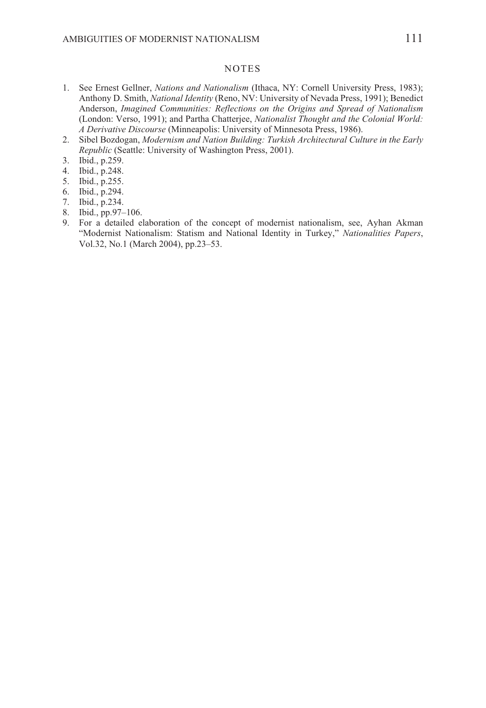## **NOTES**

- 1. See Ernest Gellner, *Nations and Nationalism* (Ithaca, NY: Cornell University Press, 1983); Anthony D. Smith, *National Identity* (Reno, NV: University of Nevada Press, 1991); Benedict Anderson, *Imagined Communities: Reflections on the Origins and Spread of Nationalism* (London: Verso, 1991); and Partha Chatterjee, *Nationalist Thought and the Colonial World: A Derivative Discourse* (Minneapolis: University of Minnesota Press, 1986).
- 2. Sibel Bozdogan, *Modernism and Nation Building: Turkish Architectural Culture in the Early Republic* (Seattle: University of Washington Press, 2001).
- 3. Ibid., p.259.
- 4. Ibid., p.248.
- 5. Ibid., p.255.
- 6. Ibid., p.294.
- 7. Ibid., p.234.
- 8. Ibid., pp.97–106.
- 9. For a detailed elaboration of the concept of modernist nationalism, see, Ayhan Akman "Modernist Nationalism: Statism and National Identity in Turkey," *Nationalities Papers*, Vol.32, No.1 (March 2004), pp.23–53.